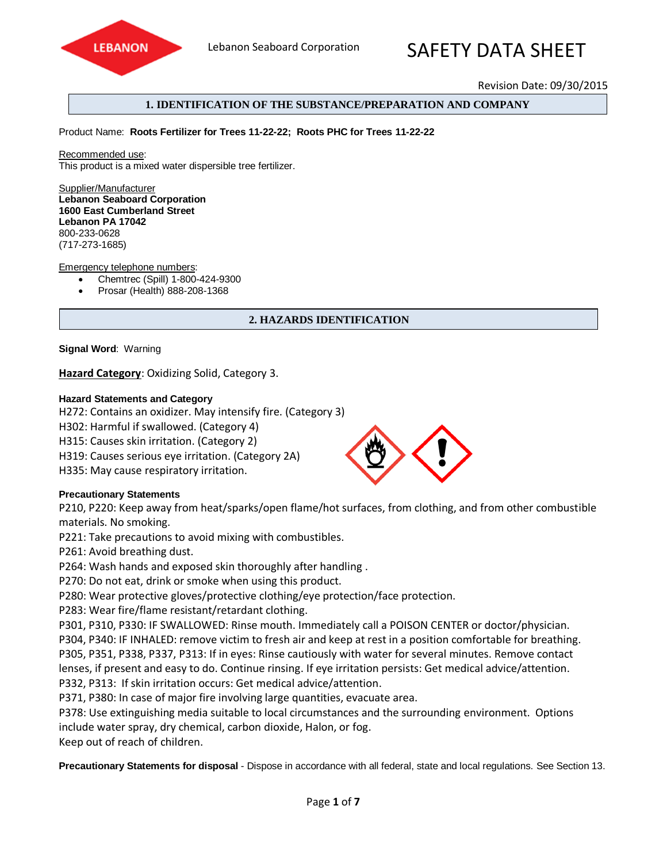

# Lebanon Seaboard Corporation **SAFFTY DATA SHFFT**

Revision Date: 09/30/2015

## **1. IDENTIFICATION OF THE SUBSTANCE/PREPARATION AND COMPANY**

Product Name: **Roots Fertilizer for Trees 11-22-22; Roots PHC for Trees 11-22-22**

Recommended use: This product is a mixed water dispersible tree fertilizer.

Supplier/Manufacturer **Lebanon Seaboard Corporation 1600 East Cumberland Street Lebanon PA 17042**  800-233-0628 (717-273-1685)

#### Emergency telephone numbers:

- Chemtrec (Spill) 1-800-424-9300
- Prosar (Health) 888-208-1368

## **2. HAZARDS IDENTIFICATION**

#### **Signal Word**: Warning

**Hazard Category**: Oxidizing Solid, Category 3.

#### **Hazard Statements and Category**

H272: Contains an oxidizer. May intensify fire. (Category 3)

H302: Harmful if swallowed. (Category 4)

H315: Causes skin irritation. (Category 2)

H319: Causes serious eye irritation. (Category 2A)

H335: May cause respiratory irritation.

## **Precautionary Statements**

P210, P220: Keep away from heat/sparks/open flame/hot surfaces, from clothing, and from other combustible materials. No smoking.

P221: Take precautions to avoid mixing with combustibles.

P261: Avoid breathing dust.

P264: Wash hands and exposed skin thoroughly after handling .

P270: Do not eat, drink or smoke when using this product.

P280: Wear protective gloves/protective clothing/eye protection/face protection.

P283: Wear fire/flame resistant/retardant clothing.

P301, P310, P330: IF SWALLOWED: Rinse mouth. Immediately call a POISON CENTER or doctor/physician. P304, P340: IF INHALED: remove victim to fresh air and keep at rest in a position comfortable for breathing. P305, P351, P338, P337, P313: If in eyes: Rinse cautiously with water for several minutes. Remove contact lenses, if present and easy to do. Continue rinsing. If eye irritation persists: Get medical advice/attention. P332, P313: If skin irritation occurs: Get medical advice/attention.

P371, P380: In case of major fire involving large quantities, evacuate area.

P378: Use extinguishing media suitable to local circumstances and the surrounding environment. Options include water spray, dry chemical, carbon dioxide, Halon, or fog.

Keep out of reach of children.

**Precautionary Statements for disposal** - Dispose in accordance with all federal, state and local regulations. See Section 13.



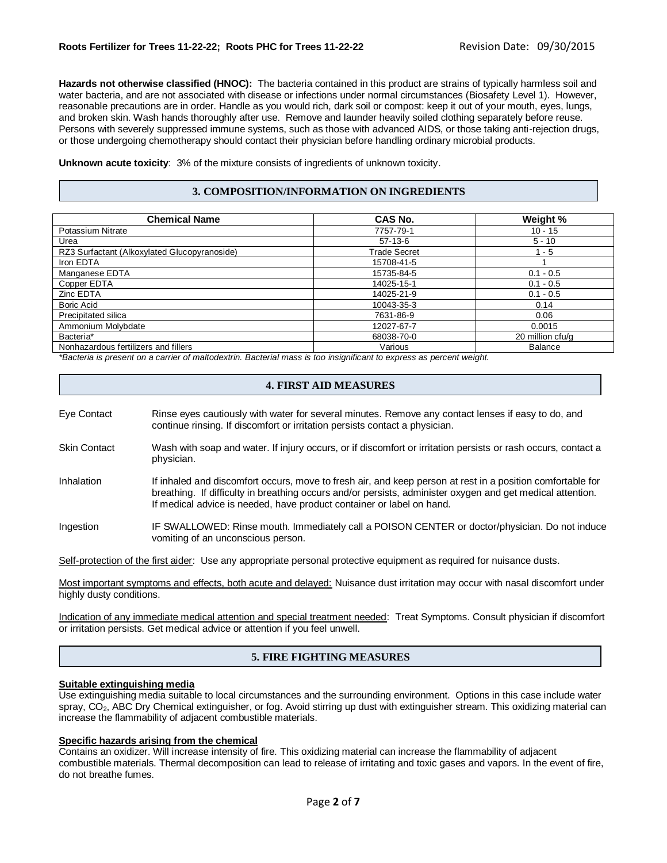**Hazards not otherwise classified (HNOC):** The bacteria contained in this product are strains of typically harmless soil and water bacteria, and are not associated with disease or infections under normal circumstances (Biosafety Level 1). However, reasonable precautions are in order. Handle as you would rich, dark soil or compost: keep it out of your mouth, eyes, lungs, and broken skin. Wash hands thoroughly after use. Remove and launder heavily soiled clothing separately before reuse. Persons with severely suppressed immune systems, such as those with advanced AIDS, or those taking anti-rejection drugs, or those undergoing chemotherapy should contact their physician before handling ordinary microbial products.

**Unknown acute toxicity**: 3% of the mixture consists of ingredients of unknown toxicity.

#### **3. COMPOSITION/INFORMATION ON INGREDIENTS**

| <b>Chemical Name</b>                         | CAS No.      | Weight %         |
|----------------------------------------------|--------------|------------------|
| Potassium Nitrate                            | 7757-79-1    | $10 - 15$        |
| Urea                                         | $57-13-6$    | $5 - 10$         |
| RZ3 Surfactant (Alkoxylated Glucopyranoside) | Trade Secret | $1 - 5$          |
| Iron EDTA                                    | 15708-41-5   |                  |
| Manganese EDTA                               | 15735-84-5   | $0.1 - 0.5$      |
| Copper EDTA                                  | 14025-15-1   | $0.1 - 0.5$      |
| Zinc EDTA                                    | 14025-21-9   | $0.1 - 0.5$      |
| Boric Acid                                   | 10043-35-3   | 0.14             |
| Precipitated silica                          | 7631-86-9    | 0.06             |
| Ammonium Molybdate                           | 12027-67-7   | 0.0015           |
| Bacteria*                                    | 68038-70-0   | 20 million cfu/g |
| Nonhazardous fertilizers and fillers         | Various      | <b>Balance</b>   |

*\*Bacteria is present on a carrier of maltodextrin. Bacterial mass is too insignificant to express as percent weight.*

#### **4. FIRST AID MEASURES**

- Eye Contact Rinse eyes cautiously with water for several minutes. Remove any contact lenses if easy to do, and continue rinsing. If discomfort or irritation persists contact a physician.
- Skin Contact Wash with soap and water. If injury occurs, or if discomfort or irritation persists or rash occurs, contact a physician.
- Inhalation If inhaled and discomfort occurs, move to fresh air, and keep person at rest in a position comfortable for breathing. If difficulty in breathing occurs and/or persists, administer oxygen and get medical attention. If medical advice is needed, have product container or label on hand.
- Ingestion IF SWALLOWED: Rinse mouth. Immediately call a POISON CENTER or doctor/physician. Do not induce vomiting of an unconscious person.

Self-protection of the first aider: Use any appropriate personal protective equipment as required for nuisance dusts.

Most important symptoms and effects, both acute and delayed: Nuisance dust irritation may occur with nasal discomfort under highly dusty conditions.

Indication of any immediate medical attention and special treatment needed: Treat Symptoms. Consult physician if discomfort or irritation persists. Get medical advice or attention if you feel unwell.

#### **5. FIRE FIGHTING MEASURES**

#### **Suitable extinguishing media**

Use extinguishing media suitable to local circumstances and the surrounding environment. Options in this case include water spray, CO<sub>2</sub>, ABC Dry Chemical extinguisher, or fog. Avoid stirring up dust with extinguisher stream. This oxidizing material can increase the flammability of adjacent combustible materials.

#### **Specific hazards arising from the chemical**

Contains an oxidizer. Will increase intensity of fire. This oxidizing material can increase the flammability of adjacent combustible materials. Thermal decomposition can lead to release of irritating and toxic gases and vapors. In the event of fire, do not breathe fumes.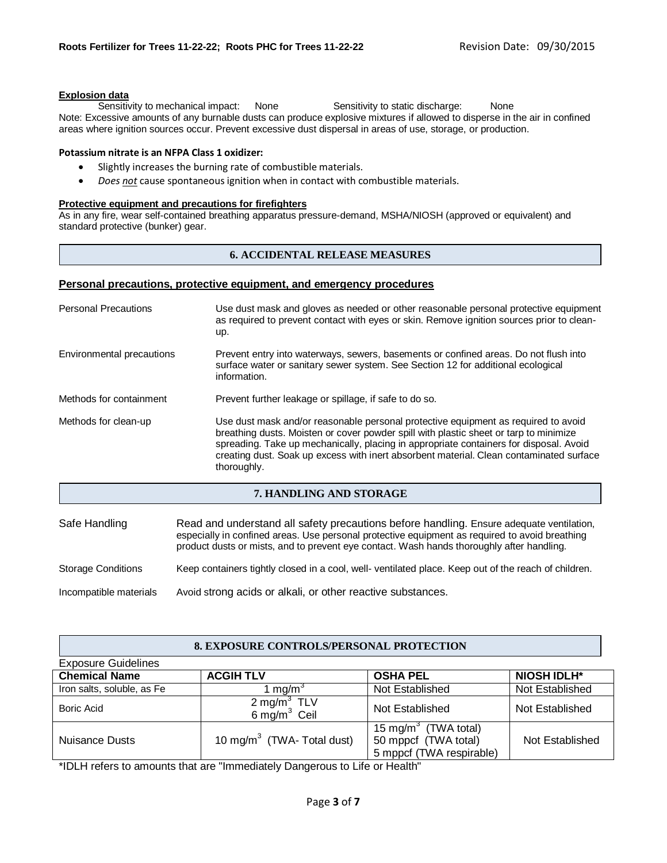#### **Explosion data**

Sensitivity to mechanical impact: None Sensitivity to static discharge: None Note: Excessive amounts of any burnable dusts can produce explosive mixtures if allowed to disperse in the air in confined areas where ignition sources occur. Prevent excessive dust dispersal in areas of use, storage, or production.

#### **Potassium nitrate is an NFPA Class 1 oxidizer:**

- Slightly increases the burning rate of combustible materials.
- *Does not* cause spontaneous ignition when in contact with combustible materials.

#### **Protective equipment and precautions for firefighters**

As in any fire, wear self-contained breathing apparatus pressure-demand, MSHA/NIOSH (approved or equivalent) and standard protective (bunker) gear.

## **6. ACCIDENTAL RELEASE MEASURES**

#### **Personal precautions, protective equipment, and emergency procedures**

| <b>Personal Precautions</b> | Use dust mask and gloves as needed or other reasonable personal protective equipment<br>as required to prevent contact with eyes or skin. Remove ignition sources prior to clean-<br>up.                                                                                                                                                                                        |  |
|-----------------------------|---------------------------------------------------------------------------------------------------------------------------------------------------------------------------------------------------------------------------------------------------------------------------------------------------------------------------------------------------------------------------------|--|
| Environmental precautions   | Prevent entry into waterways, sewers, basements or confined areas. Do not flush into<br>surface water or sanitary sewer system. See Section 12 for additional ecological<br>information.                                                                                                                                                                                        |  |
| Methods for containment     | Prevent further leakage or spillage, if safe to do so.                                                                                                                                                                                                                                                                                                                          |  |
| Methods for clean-up        | Use dust mask and/or reasonable personal protective equipment as required to avoid<br>breathing dusts. Moisten or cover powder spill with plastic sheet or tarp to minimize<br>spreading. Take up mechanically, placing in appropriate containers for disposal. Avoid<br>creating dust. Soak up excess with inert absorbent material. Clean contaminated surface<br>thoroughly. |  |
| 7. HANDLING AND STORAGE     |                                                                                                                                                                                                                                                                                                                                                                                 |  |

| Safe Handling             | Read and understand all safety precautions before handling. Ensure adequate ventilation,<br>especially in confined areas. Use personal protective equipment as required to avoid breathing<br>product dusts or mists, and to prevent eye contact. Wash hands thoroughly after handling. |
|---------------------------|-----------------------------------------------------------------------------------------------------------------------------------------------------------------------------------------------------------------------------------------------------------------------------------------|
| <b>Storage Conditions</b> | Keep containers tightly closed in a cool, well- ventilated place. Keep out of the reach of children.                                                                                                                                                                                    |
| Incompatible materials    | Avoid strong acids or alkali, or other reactive substances.                                                                                                                                                                                                                             |

# **8. EXPOSURE CONTROLS/PERSONAL PROTECTION**

| <b>Exposure Guidelines</b> |                                            |                                                                                      |                    |
|----------------------------|--------------------------------------------|--------------------------------------------------------------------------------------|--------------------|
| <b>Chemical Name</b>       | <b>ACGIH TLV</b>                           | <b>OSHA PEL</b>                                                                      | <b>NIOSH IDLH*</b> |
| Iron salts, soluble, as Fe | 1 mg/m <sup>o</sup>                        | Not Established                                                                      | Not Established    |
| Boric Acid                 | 2 mg/m <sup>3</sup> TLV<br>6 mg/m $3$ Ceil | Not Established                                                                      | Not Established    |
| Nuisance Dusts             | 10 mg/m <sup>3</sup> (TWA- Total dust)     | 15 mg/m <sup>3</sup> (TWA total)<br>50 mppcf (TWA total)<br>5 mppcf (TWA respirable) | Not Established    |

\*IDLH refers to amounts that are "Immediately Dangerous to Life or Health"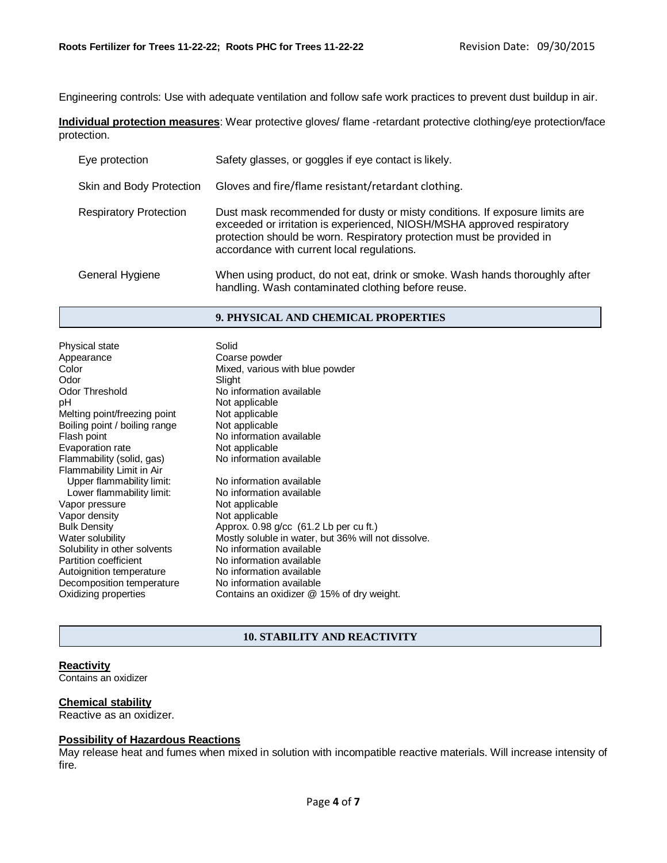Engineering controls: Use with adequate ventilation and follow safe work practices to prevent dust buildup in air.

**Individual protection measures**: Wear protective gloves/ flame -retardant protective clothing/eye protection/face protection.

| Eye protection                | Safety glasses, or goggles if eye contact is likely.                                                                                                                                                                                                                         |
|-------------------------------|------------------------------------------------------------------------------------------------------------------------------------------------------------------------------------------------------------------------------------------------------------------------------|
| Skin and Body Protection      | Gloves and fire/flame resistant/retardant clothing.                                                                                                                                                                                                                          |
| <b>Respiratory Protection</b> | Dust mask recommended for dusty or misty conditions. If exposure limits are<br>exceeded or irritation is experienced, NIOSH/MSHA approved respiratory<br>protection should be worn. Respiratory protection must be provided in<br>accordance with current local regulations. |
| General Hygiene               | When using product, do not eat, drink or smoke. Wash hands thoroughly after<br>handling. Wash contaminated clothing before reuse.                                                                                                                                            |

## **9. PHYSICAL AND CHEMICAL PROPERTIES**

| Physical state                | Solid                            |
|-------------------------------|----------------------------------|
| Appearance                    | Coarse powder                    |
| Color                         | Mixed, various with blue powder  |
| Odor                          | Slight                           |
| <b>Odor Threshold</b>         | No information available         |
| рH                            | Not applicable                   |
| Melting point/freezing point  | Not applicable                   |
| Boiling point / boiling range | Not applicable                   |
| Flash point                   | No information available         |
| Evaporation rate              | Not applicable                   |
| Flammability (solid, gas)     | No information available         |
| Flammability Limit in Air     |                                  |
| Upper flammability limit:     | No information available         |
| Lower flammability limit:     | No information available         |
| Vapor pressure                | Not applicable                   |
| Vapor density                 | Not applicable                   |
| <b>Bulk Density</b>           | Approx. 0.98 g/cc (61.2 Lb per o |
| Water solubility              | Mostly soluble in water, but 36% |
| Solubility in other solvents  | No information available         |
| <b>Partition coefficient</b>  | No information available         |
| Autoignition temperature      | No information available         |
| Decomposition temperature     | No information available         |
| Oxidizing properties          | Contains an oxidizer @ 15% of    |

| Appearance                    | Coarse powder                                       |
|-------------------------------|-----------------------------------------------------|
| Color                         | Mixed, various with blue powder                     |
| Odor                          | Slight                                              |
| Odor Threshold                | No information available                            |
| рH                            | Not applicable                                      |
| Melting point/freezing point  | Not applicable                                      |
| Boiling point / boiling range | Not applicable                                      |
| Flash point                   | No information available                            |
| Evaporation rate              | Not applicable                                      |
| Flammability (solid, gas)     | No information available                            |
| Flammability Limit in Air     |                                                     |
| Upper flammability limit:     | No information available                            |
| Lower flammability limit:     | No information available                            |
| Vapor pressure                | Not applicable                                      |
| Vapor density                 | Not applicable                                      |
| <b>Bulk Density</b>           | Approx. $0.98$ g/cc $(61.2 \text{ Lb}$ per cu ft.)  |
| Water solubility              | Mostly soluble in water, but 36% will not dissolve. |
| Solubility in other solvents  | No information available                            |
| <b>Partition coefficient</b>  | No information available                            |
| Autoignition temperature      | No information available                            |
| Decomposition temperature     | No information available                            |
| Oxidizing properties          | Contains an oxidizer @ 15% of dry weight.           |

# **10. STABILITY AND REACTIVITY**

# **Reactivity**

Contains an oxidizer

#### **Chemical stability**

Reactive as an oxidizer.

# **Possibility of Hazardous Reactions**

May release heat and fumes when mixed in solution with incompatible reactive materials. Will increase intensity of fire.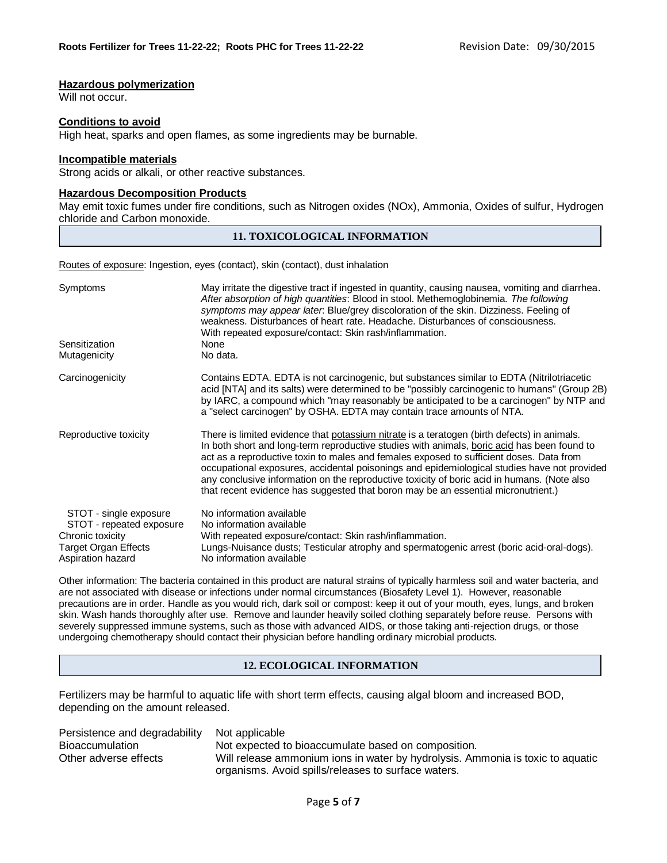#### **Hazardous polymerization**

Will not occur.

## **Conditions to avoid**

High heat, sparks and open flames, as some ingredients may be burnable.

#### **Incompatible materials**

Strong acids or alkali, or other reactive substances.

#### **Hazardous Decomposition Products**

May emit toxic fumes under fire conditions, such as Nitrogen oxides (NOx), Ammonia, Oxides of sulfur, Hydrogen chloride and Carbon monoxide.

#### **11. TOXICOLOGICAL INFORMATION**

Routes of exposure: Ingestion, eyes (contact), skin (contact), dust inhalation

| Symptoms                                           | May irritate the digestive tract if ingested in quantity, causing nausea, vomiting and diarrhea.<br>After absorption of high quantities: Blood in stool. Methemoglobinemia. The following<br>symptoms may appear later. Blue/grey discoloration of the skin. Dizziness. Feeling of<br>weakness. Disturbances of heart rate. Headache. Disturbances of consciousness.<br>With repeated exposure/contact: Skin rash/inflammation.                                                                                                                                          |
|----------------------------------------------------|--------------------------------------------------------------------------------------------------------------------------------------------------------------------------------------------------------------------------------------------------------------------------------------------------------------------------------------------------------------------------------------------------------------------------------------------------------------------------------------------------------------------------------------------------------------------------|
| Sensitization                                      | None<br>No data.                                                                                                                                                                                                                                                                                                                                                                                                                                                                                                                                                         |
| Mutagenicity                                       |                                                                                                                                                                                                                                                                                                                                                                                                                                                                                                                                                                          |
| Carcinogenicity                                    | Contains EDTA. EDTA is not carcinogenic, but substances similar to EDTA (Nitrilotriacetic<br>acid [NTA] and its salts) were determined to be "possibly carcinogenic to humans" (Group 2B)<br>by IARC, a compound which "may reasonably be anticipated to be a carcinogen" by NTP and<br>a "select carcinogen" by OSHA. EDTA may contain trace amounts of NTA.                                                                                                                                                                                                            |
| Reproductive toxicity                              | There is limited evidence that potassium nitrate is a teratogen (birth defects) in animals.<br>In both short and long-term reproductive studies with animals, boric acid has been found to<br>act as a reproductive toxin to males and females exposed to sufficient doses. Data from<br>occupational exposures, accidental poisonings and epidemiological studies have not provided<br>any conclusive information on the reproductive toxicity of boric acid in humans. (Note also<br>that recent evidence has suggested that boron may be an essential micronutrient.) |
| STOT - single exposure<br>STOT - repeated exposure | No information available<br>No information available                                                                                                                                                                                                                                                                                                                                                                                                                                                                                                                     |
| Chronic toxicity                                   | With repeated exposure/contact: Skin rash/inflammation.                                                                                                                                                                                                                                                                                                                                                                                                                                                                                                                  |
| <b>Target Organ Effects</b><br>Aspiration hazard   | Lungs-Nuisance dusts; Testicular atrophy and spermatogenic arrest (boric acid-oral-dogs).<br>No information available                                                                                                                                                                                                                                                                                                                                                                                                                                                    |

Other information: The bacteria contained in this product are natural strains of typically harmless soil and water bacteria, and are not associated with disease or infections under normal circumstances (Biosafety Level 1). However, reasonable precautions are in order. Handle as you would rich, dark soil or compost: keep it out of your mouth, eyes, lungs, and broken skin. Wash hands thoroughly after use. Remove and launder heavily soiled clothing separately before reuse. Persons with severely suppressed immune systems, such as those with advanced AIDS, or those taking anti-rejection drugs, or those undergoing chemotherapy should contact their physician before handling ordinary microbial products.

# **12. ECOLOGICAL INFORMATION**

Fertilizers may be harmful to aquatic life with short term effects, causing algal bloom and increased BOD, depending on the amount released.

| Persistence and degradability Not applicable |                                                                                                                                       |
|----------------------------------------------|---------------------------------------------------------------------------------------------------------------------------------------|
| <b>Bioaccumulation</b>                       | Not expected to bioaccumulate based on composition.                                                                                   |
| Other adverse effects                        | Will release ammonium ions in water by hydrolysis. Ammonia is toxic to aquatic<br>organisms. Avoid spills/releases to surface waters. |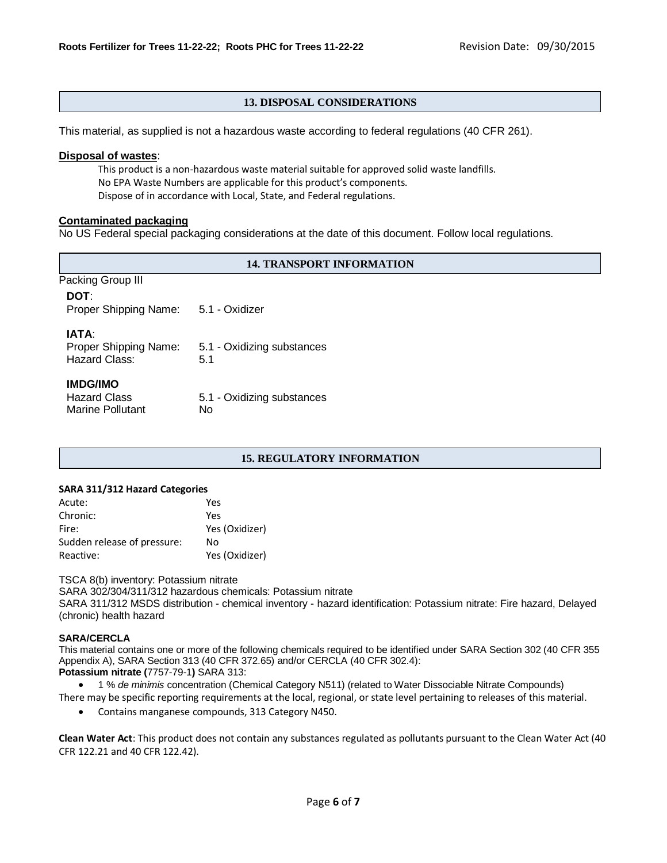# **13. DISPOSAL CONSIDERATIONS**

This material, as supplied is not a hazardous waste according to federal regulations (40 CFR 261).

#### **Disposal of wastes**:

This product is a non-hazardous waste material suitable for approved solid waste landfills. No EPA Waste Numbers are applicable for this product's components. Dispose of in accordance with Local, State, and Federal regulations.

## **Contaminated packaging**

No US Federal special packaging considerations at the date of this document. Follow local regulations.

#### **14. TRANSPORT INFORMATION**

| Packing Group III                                          |                                   |
|------------------------------------------------------------|-----------------------------------|
| DOT:<br>Proper Shipping Name:                              | 5.1 - Oxidizer                    |
| IATA:<br>Proper Shipping Name:<br>Hazard Class:            | 5.1 - Oxidizing substances<br>5.1 |
| <b>IMDG/IMO</b><br><b>Hazard Class</b><br>Marine Pollutant | 5.1 - Oxidizing substances<br>No  |

## **15. REGULATORY INFORMATION**

#### **SARA 311/312 Hazard Categories**

| Yes            |
|----------------|
| Yes            |
| Yes (Oxidizer) |
| No             |
| Yes (Oxidizer) |
|                |

TSCA 8(b) inventory: Potassium nitrate

SARA 302/304/311/312 hazardous chemicals: Potassium nitrate

SARA 311/312 MSDS distribution - chemical inventory - hazard identification: Potassium nitrate: Fire hazard, Delayed (chronic) health hazard

#### **SARA/CERCLA**

This material contains one or more of the following chemicals required to be identified under SARA Section 302 (40 CFR 355 Appendix A), SARA Section 313 (40 CFR 372.65) and/or CERCLA (40 CFR 302.4): **Potassium nitrate (**7757-79-1**)** SARA 313:

1 % *de minimis* concentration (Chemical Category N511) (related to Water Dissociable Nitrate Compounds)

- There may be specific reporting requirements at the local, regional, or state level pertaining to releases of this material.
	- Contains manganese compounds, 313 Category N450.

**Clean Water Act**: This product does not contain any substances regulated as pollutants pursuant to the Clean Water Act (40 CFR 122.21 and 40 CFR 122.42).